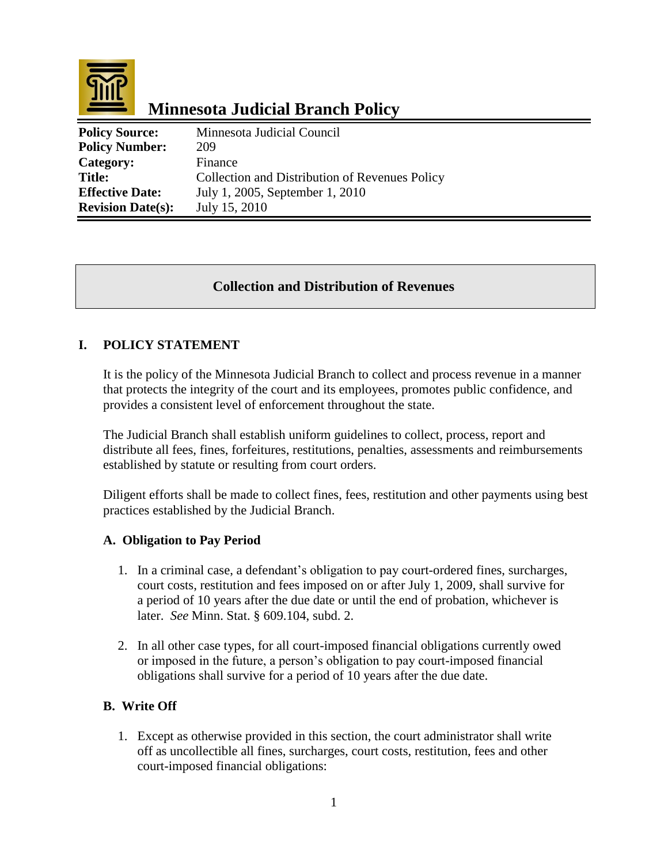

# **Minnesota Judicial Branch Policy**

| <b>Policy Source:</b>    | Minnesota Judicial Council                     |
|--------------------------|------------------------------------------------|
| <b>Policy Number:</b>    | 209                                            |
| Category:                | Finance                                        |
| <b>Title:</b>            | Collection and Distribution of Revenues Policy |
| <b>Effective Date:</b>   | July 1, 2005, September 1, 2010                |
| <b>Revision Date(s):</b> | July 15, 2010                                  |

## **Collection and Distribution of Revenues**

## **I. POLICY STATEMENT**

It is the policy of the Minnesota Judicial Branch to collect and process revenue in a manner that protects the integrity of the court and its employees, promotes public confidence, and provides a consistent level of enforcement throughout the state.

The Judicial Branch shall establish uniform guidelines to collect, process, report and distribute all fees, fines, forfeitures, restitutions, penalties, assessments and reimbursements established by statute or resulting from court orders.

Diligent efforts shall be made to collect fines, fees, restitution and other payments using best practices established by the Judicial Branch.

#### **A. Obligation to Pay Period**

- 1. In a criminal case, a defendant's obligation to pay court-ordered fines, surcharges, court costs, restitution and fees imposed on or after July 1, 2009, shall survive for a period of 10 years after the due date or until the end of probation, whichever is later. *See* Minn. Stat. § 609.104, subd. 2.
- 2. In all other case types, for all court-imposed financial obligations currently owed or imposed in the future, a person's obligation to pay court-imposed financial obligations shall survive for a period of 10 years after the due date.

#### **B. Write Off**

1. Except as otherwise provided in this section, the court administrator shall write off as uncollectible all fines, surcharges, court costs, restitution, fees and other court-imposed financial obligations: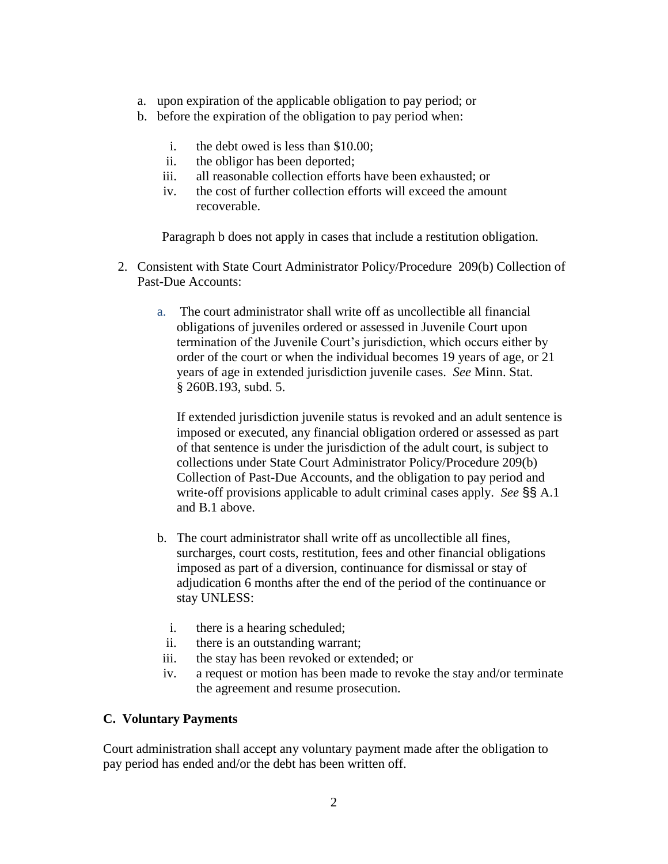- a. upon expiration of the applicable obligation to pay period; or
- b. before the expiration of the obligation to pay period when:
	- i. the debt owed is less than \$10.00;
	- ii. the obligor has been deported;
	- iii. all reasonable collection efforts have been exhausted; or
	- iv. the cost of further collection efforts will exceed the amount recoverable.

Paragraph b does not apply in cases that include a restitution obligation.

- 2. Consistent with State Court Administrator Policy/Procedure 209(b) Collection of Past-Due Accounts:
	- a. The court administrator shall write off as uncollectible all financial obligations of juveniles ordered or assessed in Juvenile Court upon termination of the Juvenile Court's jurisdiction, which occurs either by order of the court or when the individual becomes 19 years of age, or 21 years of age in extended jurisdiction juvenile cases. *See* Minn. Stat. § 260B.193, subd. 5.

If extended jurisdiction juvenile status is revoked and an adult sentence is imposed or executed, any financial obligation ordered or assessed as part of that sentence is under the jurisdiction of the adult court, is subject to collections under State Court Administrator Policy/Procedure 209(b) Collection of Past-Due Accounts, and the obligation to pay period and write-off provisions applicable to adult criminal cases apply. *See* §§ A.1 and B.1 above.

- b. The court administrator shall write off as uncollectible all fines, surcharges, court costs, restitution, fees and other financial obligations imposed as part of a diversion, continuance for dismissal or stay of adjudication 6 months after the end of the period of the continuance or stay UNLESS:
	- i. there is a hearing scheduled;
	- ii. there is an outstanding warrant;
- iii. the stay has been revoked or extended; or
- iv. a request or motion has been made to revoke the stay and/or terminate the agreement and resume prosecution.

#### **C. Voluntary Payments**

Court administration shall accept any voluntary payment made after the obligation to pay period has ended and/or the debt has been written off.